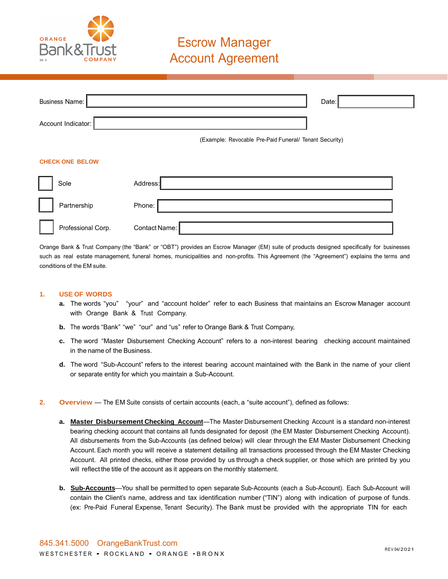

# Escrow Manager **Account Agreement**

| <b>Business Name:</b>  |               |                                                        | Date: |  |
|------------------------|---------------|--------------------------------------------------------|-------|--|
|                        |               |                                                        |       |  |
| Account Indicator:     |               |                                                        |       |  |
|                        |               | (Example: Revocable Pre-Paid Funeral/ Tenant Security) |       |  |
|                        |               |                                                        |       |  |
| <b>CHECK ONE BELOW</b> |               |                                                        |       |  |
| Sole                   | Address:      |                                                        |       |  |
| Partnership            | Phone:        |                                                        |       |  |
| Professional Corp.     | Contact Name: |                                                        |       |  |

Orange Bank & Trust Company (the "Bank" or "OBT") provides an Escrow Manager (EM) suite of products designed specifically for businesses such as real estate management, funeral homes, municipalities and non-profits. This Agreement (the "Agreement") explains the terms and conditions of the EM suite.

#### **1. USE OF WORDS**

- **a.** The words "you" "your" and "account holder" refer to each Business that maintains an Escrow Manager account with Orange Bank & Trust Company.
- **b.** The words "Bank" "we" "our" and "us" refer to Orange Bank & Trust Company,
- **c.** The word "Master Disbursement Checking Account" refers to a non-interest bearing checking account maintained in the name of the Business.
- **d.** The word "Sub-Account" refers to the interest bearing account maintained with the Bank in the name of your client or separate entity for which you maintain a Sub-Account.
- **2. Overview** The EM Suite consists of certain accounts (each, a "suite account"), defined as follows:
	- **a. Master Disbursement Checking Account**—The Master Disbursement Checking Account is a standard non-interest bearing checking account that contains all funds designated for deposit (the EM Master Disbursement Checking Account). All disbursements from the Sub-Accounts (as defined below) will clear through the EM Master Disbursement Checking Account. Each month you will receive a statement detailing all transactions processed through the EM Master Checking Account. All printed checks, either those provided by us through a check supplier, or those which are printed by you will reflect the title of the account as it appears on the monthly statement.
	- **b. Sub-Accounts**—You shall be permitted to open separate Sub-Accounts (each a Sub-Account). Each Sub-Account will contain the Client's name, address and tax identification number ("TIN") along with indication of purpose of funds. (ex: Pre-Paid Funeral Expense, Tenant Security). The Bank must be provided with the appropriate TIN for each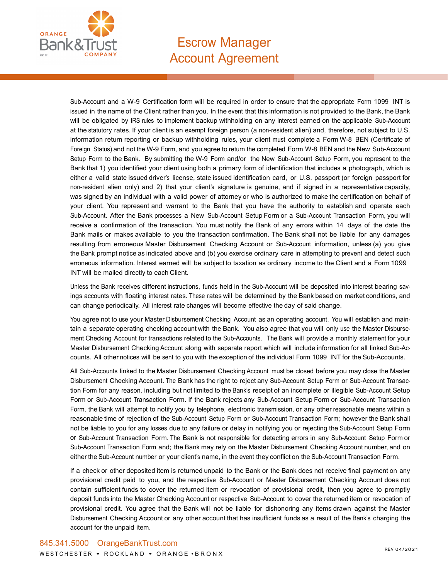

## Escrow Manager **Account Agreement**

Sub-Account and a W-9 Certification form will be required in order to ensure that the appropriate Form 1099 INT is issued in the name of the Client rather than you. In the event that this information is not provided to the Bank, the Bank will be obligated by IRS rules to implement backup withholding on any interest earned on the applicable Sub-Account at the statutory rates. If your client is an exempt foreign person (a non-resident alien) and, therefore, not subject to U.S. information return reporting or backup withholding rules, your client must complete a Form W-8 BEN (Certificate of Foreign Status) and not the W-9 Form, and you agree to return the completed Form W-8 BEN and the New Sub-Account Setup Form to the Bank. By submitting the W-9 Form and/or the New Sub-Account Setup Form, you represent to the Bank that 1) you identified your client using both a primary form of identification that includes a photograph, which is either a valid state issued driver's license, state issued identification card, or U.S. passport (or foreign passport for non-resident alien only) and 2) that your client's signature is genuine, and if signed in a representative capacity, was signed by an individual with a valid power of attorney or who is authorized to make the certification on behalf of your client. You represent and warrant to the Bank that you have the authority to establish and operate each Sub-Account. After the Bank processes a New Sub-Account Setup Form or a Sub-Account Transaction Form, you will receive a confirmation of the transaction. You must notify the Bank of any errors within 14 days of the date the Bank mails or makes available to you the transaction confirmation. The Bank shall not be liable for any damages resulting from erroneous Master Disbursement Checking Account or Sub-Account information, unless (a) you give the Bank prompt notice as indicated above and (b) you exercise ordinary care in attempting to prevent and detect such erroneous information. Interest earned will be subject to taxation as ordinary income to the Client and a Form 1099 INT will be mailed directly to each Client.

Unless the Bank receives different instructions, funds held in the Sub-Account will be deposited into interest bearing savings accounts with floating interest rates. These rates will be determined by the Bank based on market conditions, and can change periodically. All interest rate changes will become effective the day of said change.

You agree not to use your Master Disbursement Checking Account as an operating account. You will establish and maintain a separate operating checking account with the Bank. You also agree that you will only use the Master Disbursement Checking Account for transactions related to the Sub-Accounts. The Bank will provide a monthly statement for your Master Disbursement Checking Account along with separate report which will include information for all linked Sub-Accounts. All other notices will be sent to you with the exception of the individual Form 1099 INT for the Sub-Accounts.

All Sub-Accounts linked to the Master Disbursement Checking Account must be closed before you may close the Master Disbursement Checking Account. The Bank has the right to reject any Sub-Account Setup Form or Sub-Account Transaction Form for any reason, including but not limited to the Bank's receipt of an incomplete or illegible Sub-Account Setup Form or Sub-Account Transaction Form. If the Bank rejects any Sub-Account Setup Form or Sub-Account Transaction Form, the Bank will attempt to notify you by telephone, electronic transmission, or any other reasonable means within a reasonable time of rejection of the Sub-Account Setup Form or Sub-Account Transaction Form; however the Bank shall not be liable to you for any losses due to any failure or delay in notifying you or rejecting the Sub-Account Setup Form or Sub-Account Transaction Form. The Bank is not responsible for detecting errors in any Sub-Account Setup Form or Sub-Account Transaction Form and; the Bank may rely on the Master Disbursement Checking Account number, and on either the Sub-Account number or your client's name, in the event they conflict on the Sub-Account Transaction Form.

If a check or other deposited item is returned unpaid to the Bank or the Bank does not receive final payment on any provisional credit paid to you, and the respective Sub-Account or Master Disbursement Checking Account does not contain sufficient funds to cover the returned item or revocation of provisional credit, then you agree to promptly deposit funds into the Master Checking Account or respective Sub-Account to cover the returned item or revocation of provisional credit. You agree that the Bank will not be liable for dishonoring any items drawn against the Master Disbursement Checking Account or any other account that has insufficient funds as a result of the Bank's charging the account for the unpaid item.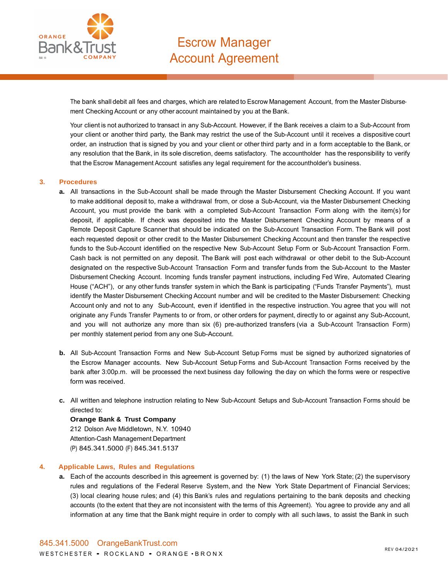

The bank shall debit all fees and charges, which are related to Escrow Management Account, from the Master Disbursement Checking Account or any other account maintained by you at the Bank.

Your client is not authorized to transact in any Sub-Account. However, if the Bank receives a claim to a Sub-Account from your client or another third party, the Bank may restrict the use of the Sub-Account until it receives a dispositive court order, an instruction that is signed by you and your client or other third party and in a form acceptable to the Bank, or any resolution that the Bank, in its sole discretion, deems satisfactory. The accountholder has the responsibility to verify that the Escrow Management Account satisfies any legal requirement for the accountholder's business.

#### **3. Procedures**

- **a.** All transactions in the Sub-Account shall be made through the Master Disbursement Checking Account. If you want to make additional deposit to, make a withdrawal from, or close a Sub-Account, via the Master Disbursement Checking Account, you must provide the bank with a completed Sub-Account Transaction Form along with the item(s) for deposit, if applicable. If check was deposited into the Master Disbursement Checking Account by means of a Remote Deposit Capture Scanner that should be indicated on the Sub-Account Transaction Form. The Bank will post each requested deposit or other credit to the Master Disbursement Checking Account and then transfer the respective funds to the Sub-Account identified on the respective New Sub-Account Setup Form or Sub-Account Transaction Form. Cash back is not permitted on any deposit. The Bank will post each withdrawal or other debit to the Sub-Account designated on the respective Sub-Account Transaction Form and transfer funds from the Sub-Account to the Master Disbursement Checking Account. Incoming funds transfer payment instructions, including Fed Wire, Automated Clearing House ("ACH"), or any other funds transfer system in which the Bank is participating ("Funds Transfer Payments"), must identify the Master Disbursement Checking Account number and will be credited to the Master Disbursement: Checking Account only and not to any Sub-Account, even if identified in the respective instruction. You agree that you will not originate any Funds Transfer Payments to or from, or other orders for payment, directly to or against any Sub-Account, and you will not authorize any more than six (6) pre-authorized transfers (via a Sub-Account Transaction Form) per monthly statement period from any one Sub-Account.
- **b.** All Sub-Account Transaction Forms and New Sub-Account Setup Forms must be signed by authorized signatories of the Escrow Manager accounts. New Sub-Account Setup Forms and Sub-Account Transaction Forms received by the bank after 3:00p.m. will be processed the next business day following the day on which the forms were or respective form was received.
- **c.** All written and telephone instruction relating to New Sub-Account Setups and Sub-Account Transaction Forms should be directed to:

### **Orange Bank & Trust Company** 212 Dolson Ave Middletown, N.Y. 10940

Attention-Cash Management Department (P) 845.341.5000 (F) 845.341.5137

### **4. Applicable Laws, Rules and Regulations**

**a.** Each of the accounts described in this agreement is governed by: (1) the laws of New York State; (2) the supervisory rules and regulations of the Federal Reserve System, and the New York State Department of Financial Services; (3) local clearing house rules; and (4) this Bank's rules and regulations pertaining to the bank deposits and checking accounts (to the extent that they are not inconsistent with the terms of this Agreement). You agree to provide any and all information at any time that the Bank might require in order to comply with all such laws, to assist the Bank in such